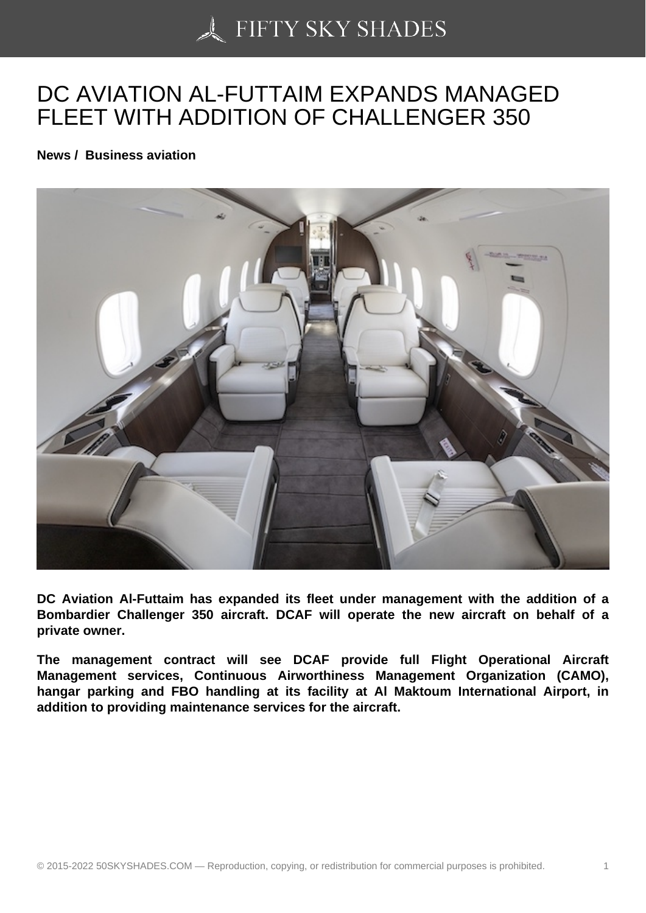## [DC AVIATION AL-FUT](https://50skyshades.com)TAIM EXPANDS MANAGED FLEET WITH ADDITION OF CHALLENGER 350

News / Business aviation

DC Aviation Al-Futtaim has expanded its fleet under management with the addition of a Bombardier Challenger 350 aircraft. DCAF will operate the new aircraft on behalf of a private owner.

The management contract will see DCAF provide full Flight Operational Aircraft Management services, Continuous Airworthiness Management Organization (CAMO), hangar parking and FBO handling at its facility at Al Maktoum International Airport, in addition to providing maintenance services for the aircraft.